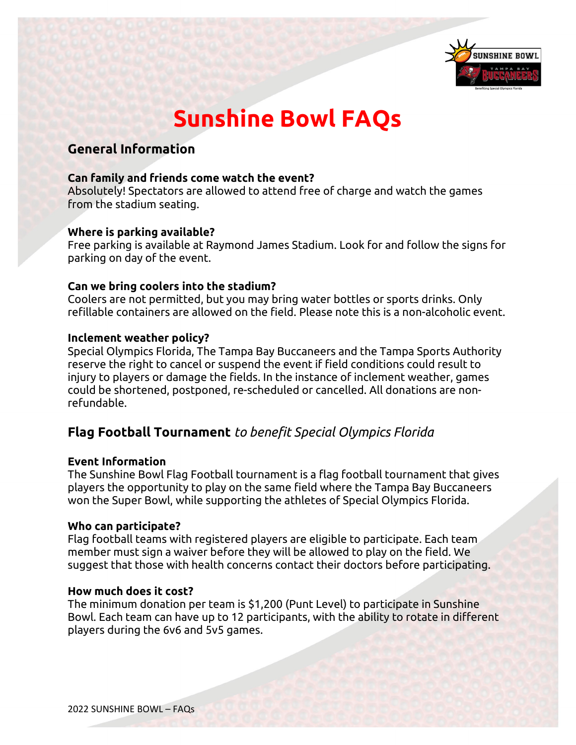

# **Sunshine Bowl FAQs**

# **General Information**

## **Can family and friends come watch the event?**

Absolutely! Spectators are allowed to attend free of charge and watch the games from the stadium seating.

#### **Where is parking available?**

Free parking is available at Raymond James Stadium. Look for and follow the signs for parking on day of the event.

## **Can we bring coolers into the stadium?**

Coolers are not permitted, but you may bring water bottles or sports drinks. Only refillable containers are allowed on the field. Please note this is a non-alcoholic event.

#### **Inclement weather policy?**

Special Olympics Florida, The Tampa Bay Buccaneers and the Tampa Sports Authority reserve the right to cancel or suspend the event if field conditions could result to injury to players or damage the fields. In the instance of inclement weather, games could be shortened, postponed, re-scheduled or cancelled. All donations are nonrefundable.

## **Flag Football Tournament** *to benefit Special Olympics Florida*

#### **Event Information**

The Sunshine Bowl Flag Football tournament is a flag football tournament that gives players the opportunity to play on the same field where the Tampa Bay Buccaneers won the Super Bowl, while supporting the athletes of Special Olympics Florida.

#### **Who can participate?**

Flag football teams with registered players are eligible to participate. Each team member must sign a waiver before they will be allowed to play on the field. We suggest that those with health concerns contact their doctors before participating.

#### **How much does it cost?**

The minimum donation per team is \$1,200 (Punt Level) to participate in Sunshine Bowl. Each team can have up to 12 participants, with the ability to rotate in different players during the 6v6 and 5v5 games.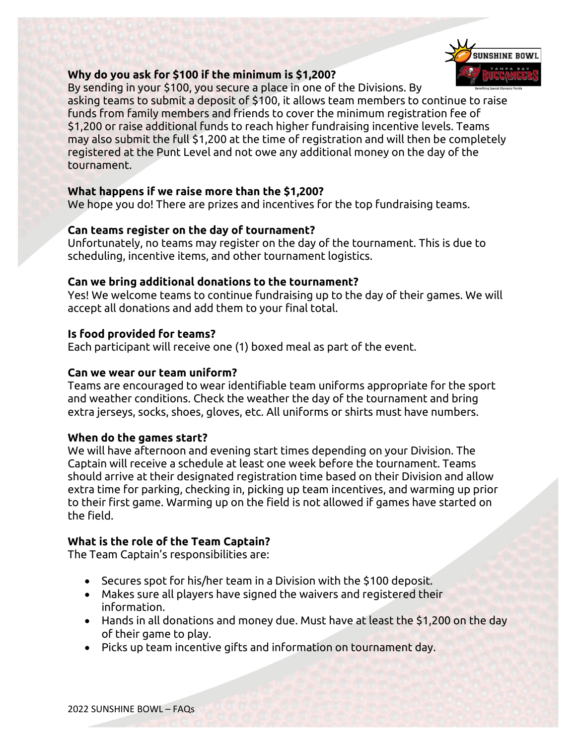

## **Why do you ask for \$100 if the minimum is \$1,200?**

By sending in your \$100, you secure a place in one of the Divisions. By asking teams to submit a deposit of \$100, it allows team members to continue to raise funds from family members and friends to cover the minimum registration fee of \$1,200 or raise additional funds to reach higher fundraising incentive levels. Teams may also submit the full \$1,200 at the time of registration and will then be completely registered at the Punt Level and not owe any additional money on the day of the tournament.

## **What happens if we raise more than the \$1,200?**

We hope you do! There are prizes and incentives for the top fundraising teams.

## **Can teams register on the day of tournament?**

Unfortunately, no teams may register on the day of the tournament. This is due to scheduling, incentive items, and other tournament logistics.

## **Can we bring additional donations to the tournament?**

Yes! We welcome teams to continue fundraising up to the day of their games. We will accept all donations and add them to your final total.

## **Is food provided for teams?**

Each participant will receive one (1) boxed meal as part of the event.

## **Can we wear our team uniform?**

Teams are encouraged to wear identifiable team uniforms appropriate for the sport and weather conditions. Check the weather the day of the tournament and bring extra jerseys, socks, shoes, gloves, etc. All uniforms or shirts must have numbers.

## **When do the games start?**

We will have afternoon and evening start times depending on your Division. The Captain will receive a schedule at least one week before the tournament. Teams should arrive at their designated registration time based on their Division and allow extra time for parking, checking in, picking up team incentives, and warming up prior to their first game. Warming up on the field is not allowed if games have started on the field.

## **What is the role of the Team Captain?**

The Team Captain's responsibilities are:

- Secures spot for his/her team in a Division with the \$100 deposit.
- Makes sure all players have signed the waivers and registered their information.
- Hands in all donations and money due. Must have at least the \$1,200 on the day of their game to play.
- Picks up team incentive gifts and information on tournament day.